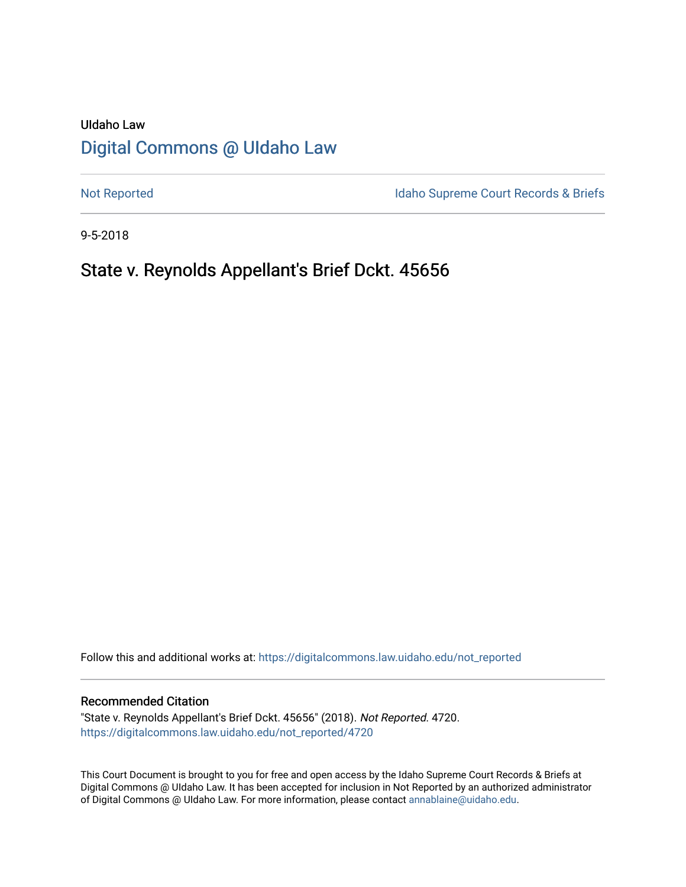# UIdaho Law [Digital Commons @ UIdaho Law](https://digitalcommons.law.uidaho.edu/)

[Not Reported](https://digitalcommons.law.uidaho.edu/not_reported) **Idaho Supreme Court Records & Briefs** 

9-5-2018

# State v. Reynolds Appellant's Brief Dckt. 45656

Follow this and additional works at: [https://digitalcommons.law.uidaho.edu/not\\_reported](https://digitalcommons.law.uidaho.edu/not_reported?utm_source=digitalcommons.law.uidaho.edu%2Fnot_reported%2F4720&utm_medium=PDF&utm_campaign=PDFCoverPages) 

### Recommended Citation

"State v. Reynolds Appellant's Brief Dckt. 45656" (2018). Not Reported. 4720. [https://digitalcommons.law.uidaho.edu/not\\_reported/4720](https://digitalcommons.law.uidaho.edu/not_reported/4720?utm_source=digitalcommons.law.uidaho.edu%2Fnot_reported%2F4720&utm_medium=PDF&utm_campaign=PDFCoverPages)

This Court Document is brought to you for free and open access by the Idaho Supreme Court Records & Briefs at Digital Commons @ UIdaho Law. It has been accepted for inclusion in Not Reported by an authorized administrator of Digital Commons @ UIdaho Law. For more information, please contact [annablaine@uidaho.edu](mailto:annablaine@uidaho.edu).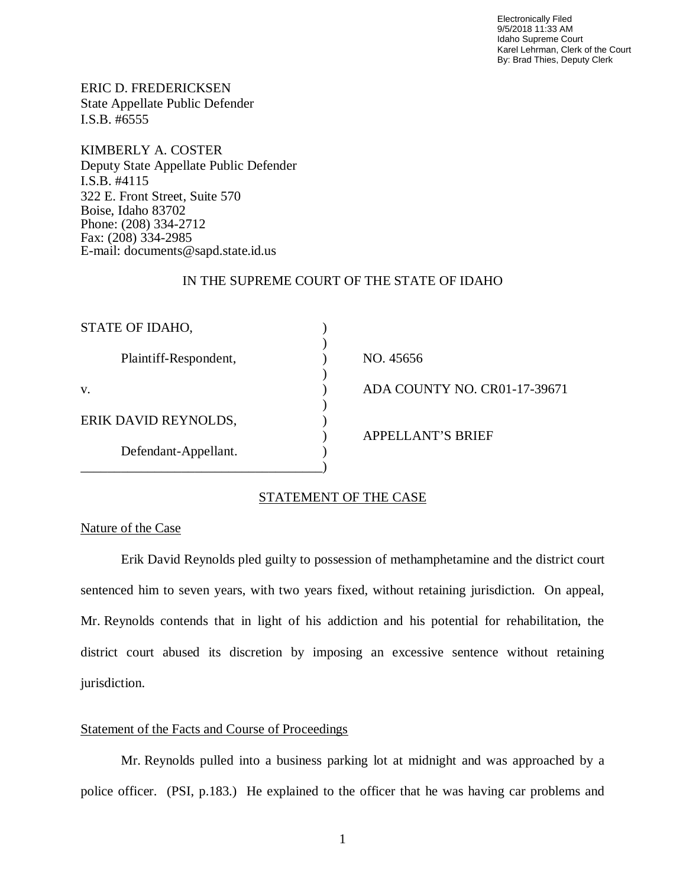Electronically Filed 9/5/2018 11:33 AM Idaho Supreme Court Karel Lehrman, Clerk of the Court By: Brad Thies, Deputy Clerk

ERIC D. FREDERICKSEN State Appellate Public Defender I.S.B. #6555

KIMBERLY A. COSTER Deputy State Appellate Public Defender I.S.B. #4115 322 E. Front Street, Suite 570 Boise, Idaho 83702 Phone: (208) 334-2712 Fax: (208) 334-2985 E-mail: documents@sapd.state.id.us

# IN THE SUPREME COURT OF THE STATE OF IDAHO

| STATE OF IDAHO,       |                              |
|-----------------------|------------------------------|
| Plaintiff-Respondent, | NO. 45656                    |
| V.                    | ADA COUNTY NO. CR01-17-39671 |
| ERIK DAVID REYNOLDS,  |                              |
| Defendant-Appellant.  |                              |
|                       | <b>APPELLANT'S BRIEF</b>     |

# STATEMENT OF THE CASE

# Nature of the Case

Erik David Reynolds pled guilty to possession of methamphetamine and the district court sentenced him to seven years, with two years fixed, without retaining jurisdiction. On appeal, Mr. Reynolds contends that in light of his addiction and his potential for rehabilitation, the district court abused its discretion by imposing an excessive sentence without retaining jurisdiction.

# Statement of the Facts and Course of Proceedings

Mr. Reynolds pulled into a business parking lot at midnight and was approached by a police officer. (PSI, p.183.) He explained to the officer that he was having car problems and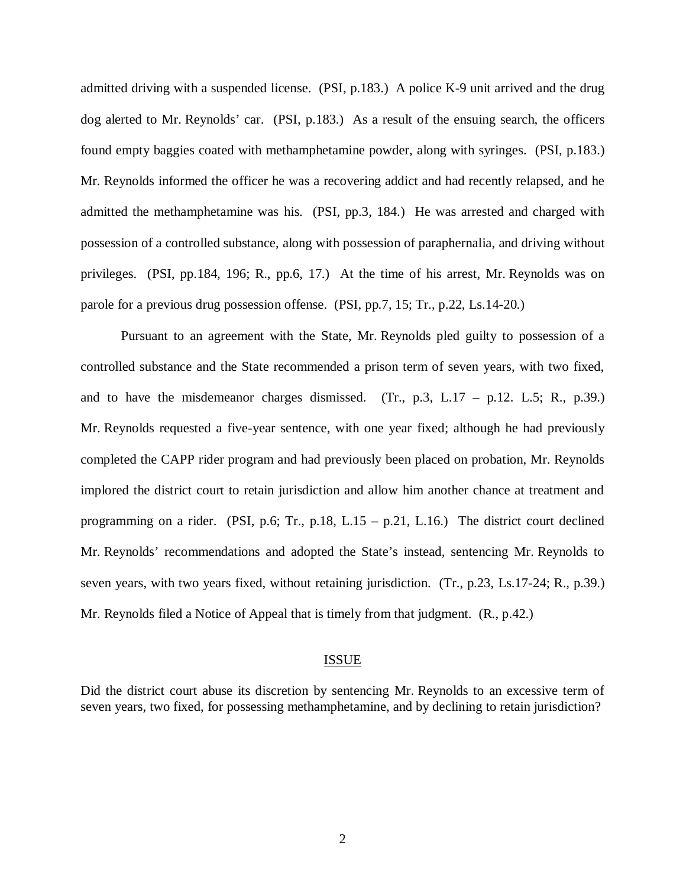admitted driving with a suspended license. (PSI, p.183.) A police K-9 unit arrived and the drug dog alerted to Mr. Reynolds' car. (PSI, p.183.) As a result of the ensuing search, the officers found empty baggies coated with methamphetamine powder, along with syringes. (PSI, p.183.) Mr. Reynolds informed the officer he was a recovering addict and had recently relapsed, and he admitted the methamphetamine was his. (PSI, pp.3, 184.) He was arrested and charged with possession of a controlled substance, along with possession of paraphernalia, and driving without privileges. (PSI, pp.184, 196; R., pp.6, 17.) At the time of his arrest, Mr. Reynolds was on parole for a previous drug possession offense. (PSI, pp.7, 15; Tr., p.22, Ls.14-20.)

Pursuant to an agreement with the State, Mr. Reynolds pled guilty to possession of a controlled substance and the State recommended a prison term of seven years, with two fixed, and to have the misdemeanor charges dismissed. (Tr.,  $p.3$ , L.17 –  $p.12$ . L.5; R.,  $p.39$ .) Mr. Reynolds requested a five-year sentence, with one year fixed; although he had previously completed the CAPP rider program and had previously been placed on probation, Mr. Reynolds implored the district court to retain jurisdiction and allow him another chance at treatment and programming on a rider. (PSI, p.6; Tr., p.18, L.15 – p.21, L.16.) The district court declined Mr. Reynolds' recommendations and adopted the State's instead, sentencing Mr. Reynolds to seven years, with two years fixed, without retaining jurisdiction. (Tr., p.23, Ls.17-24; R., p.39.) Mr. Reynolds filed a Notice of Appeal that is timely from that judgment. (R., p.42.)

#### ISSUE

Did the district court abuse its discretion by sentencing Mr. Reynolds to an excessive term of seven years, two fixed, for possessing methamphetamine, and by declining to retain jurisdiction?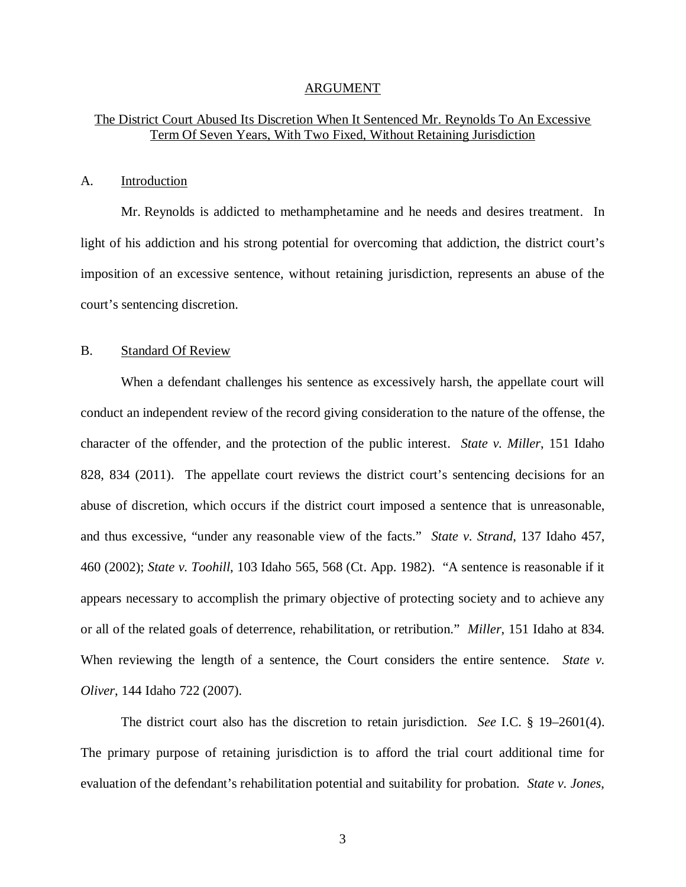#### ARGUMENT

# The District Court Abused Its Discretion When It Sentenced Mr. Reynolds To An Excessive Term Of Seven Years, With Two Fixed, Without Retaining Jurisdiction

## A. Introduction

Mr. Reynolds is addicted to methamphetamine and he needs and desires treatment. In light of his addiction and his strong potential for overcoming that addiction, the district court's imposition of an excessive sentence, without retaining jurisdiction, represents an abuse of the court's sentencing discretion.

# B. Standard Of Review

When a defendant challenges his sentence as excessively harsh, the appellate court will conduct an independent review of the record giving consideration to the nature of the offense, the character of the offender, and the protection of the public interest. *State v. Miller*, 151 Idaho 828, 834 (2011). The appellate court reviews the district court's sentencing decisions for an abuse of discretion, which occurs if the district court imposed a sentence that is unreasonable, and thus excessive, "under any reasonable view of the facts." *State v. Strand*, 137 Idaho 457, 460 (2002); *State v. Toohill*, 103 Idaho 565, 568 (Ct. App. 1982). "A sentence is reasonable if it appears necessary to accomplish the primary objective of protecting society and to achieve any or all of the related goals of deterrence, rehabilitation, or retribution." *Miller*, 151 Idaho at 834. When reviewing the length of a sentence, the Court considers the entire sentence. *State v. Oliver*, 144 Idaho 722 (2007).

The district court also has the discretion to retain jurisdiction. *See* I.C. § 19–2601(4). The primary purpose of retaining jurisdiction is to afford the trial court additional time for evaluation of the defendant's rehabilitation potential and suitability for probation. *State v. Jones*,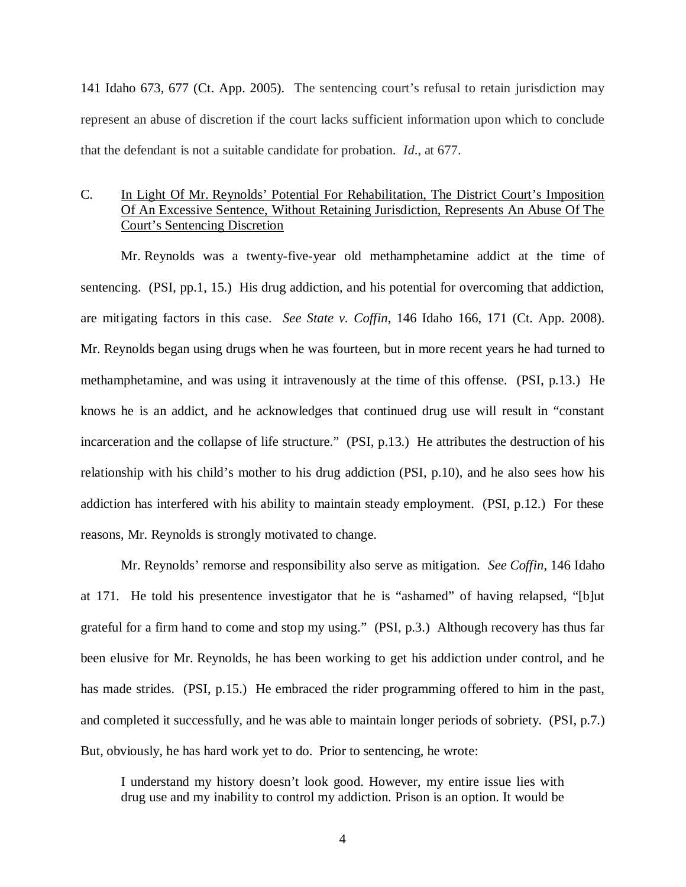141 Idaho 673, 677 (Ct. App. 2005). The sentencing court's refusal to retain jurisdiction may represent an abuse of discretion if the court lacks sufficient information upon which to conclude that the defendant is not a suitable candidate for probation. *Id*., at 677.

# C. In Light Of Mr. Reynolds' Potential For Rehabilitation, The District Court's Imposition Of An Excessive Sentence, Without Retaining Jurisdiction, Represents An Abuse Of The Court's Sentencing Discretion

Mr. Reynolds was a twenty-five-year old methamphetamine addict at the time of sentencing. (PSI, pp.1, 15.) His drug addiction, and his potential for overcoming that addiction, are mitigating factors in this case. *See State v. Coffin*, 146 Idaho 166, 171 (Ct. App. 2008). Mr. Reynolds began using drugs when he was fourteen, but in more recent years he had turned to methamphetamine, and was using it intravenously at the time of this offense. (PSI, p.13.) He knows he is an addict, and he acknowledges that continued drug use will result in "constant incarceration and the collapse of life structure." (PSI, p.13.) He attributes the destruction of his relationship with his child's mother to his drug addiction (PSI, p.10), and he also sees how his addiction has interfered with his ability to maintain steady employment. (PSI, p.12.) For these reasons, Mr. Reynolds is strongly motivated to change.

Mr. Reynolds' remorse and responsibility also serve as mitigation. *See Coffin*, 146 Idaho at 171. He told his presentence investigator that he is "ashamed" of having relapsed, "[b]ut grateful for a firm hand to come and stop my using." (PSI, p.3.) Although recovery has thus far been elusive for Mr. Reynolds, he has been working to get his addiction under control, and he has made strides. (PSI, p.15.) He embraced the rider programming offered to him in the past, and completed it successfully, and he was able to maintain longer periods of sobriety. (PSI, p.7.) But, obviously, he has hard work yet to do. Prior to sentencing, he wrote:

I understand my history doesn't look good. However, my entire issue lies with drug use and my inability to control my addiction. Prison is an option. It would be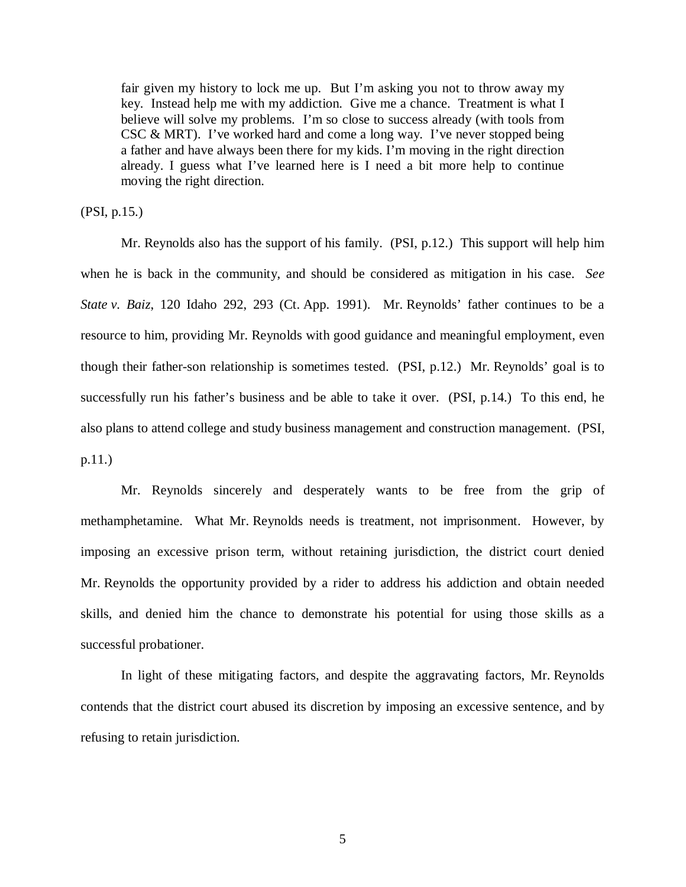fair given my history to lock me up. But I'm asking you not to throw away my key. Instead help me with my addiction. Give me a chance. Treatment is what I believe will solve my problems. I'm so close to success already (with tools from CSC & MRT). I've worked hard and come a long way. I've never stopped being a father and have always been there for my kids. I'm moving in the right direction already. I guess what I've learned here is I need a bit more help to continue moving the right direction.

(PSI, p.15.)

Mr. Reynolds also has the support of his family. (PSI, p.12.) This support will help him when he is back in the community, and should be considered as mitigation in his case. *See State v. Baiz*, 120 Idaho 292, 293 (Ct. App. 1991). Mr. Reynolds' father continues to be a resource to him, providing Mr. Reynolds with good guidance and meaningful employment, even though their father-son relationship is sometimes tested. (PSI, p.12.) Mr. Reynolds' goal is to successfully run his father's business and be able to take it over. (PSI, p.14.) To this end, he also plans to attend college and study business management and construction management. (PSI, p.11.)

Mr. Reynolds sincerely and desperately wants to be free from the grip of methamphetamine. What Mr. Reynolds needs is treatment, not imprisonment. However, by imposing an excessive prison term, without retaining jurisdiction, the district court denied Mr. Reynolds the opportunity provided by a rider to address his addiction and obtain needed skills, and denied him the chance to demonstrate his potential for using those skills as a successful probationer.

In light of these mitigating factors, and despite the aggravating factors, Mr. Reynolds contends that the district court abused its discretion by imposing an excessive sentence, and by refusing to retain jurisdiction.